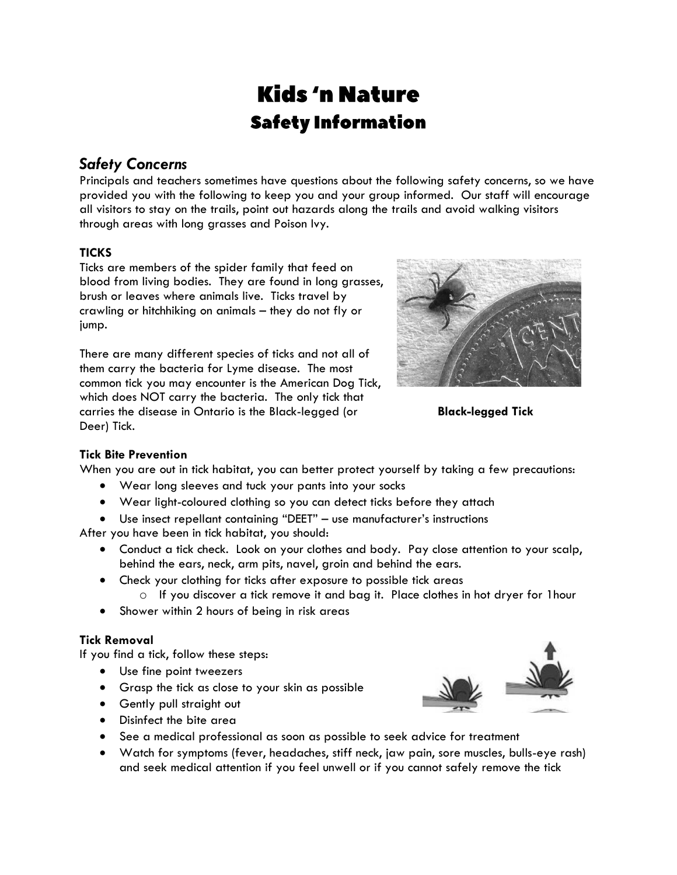# **Kids** 'n Nature **Safety Information**

# *Safety Concerns*

Principals and teachers sometimes have questions about the following safety concerns, so we have provided you with the following to keep you and your group informed. Our staff will encourage all visitors to stay on the trails, point out hazards along the trails and avoid walking visitors through areas with long grasses and Poison Ivy.

# **TICKS**

Ticks are members of the spider family that feed on blood from living bodies. They are found in long grasses, brush or leaves where animals live. Ticks travel by crawling or hitchhiking on animals – they do not fly or jump.

There are many different species of ticks and not all of them carry the bacteria for Lyme disease. The most common tick you may encounter is the American Dog Tick, which does NOT carry the bacteria. The only tick that carries the disease in Ontario is the Black-legged (or **Black-legged Tick** Deer) Tick.



# **Tick Bite Prevention**

When you are out in tick habitat, you can better protect yourself by taking a few precautions:

- Wear long sleeves and tuck your pants into your socks
- Wear light-coloured clothing so you can detect ticks before they attach
- Use insect repellant containing "DEET" use manufacturer's instructions

After you have been in tick habitat, you should:

- Conduct a tick check. Look on your clothes and body. Pay close attention to your scalp, behind the ears, neck, arm pits, navel, groin and behind the ears.
- Check your clothing for ticks after exposure to possible tick areas
	- o If you discover a tick remove it and bag it. Place clothes in hot dryer for 1hour
- Shower within 2 hours of being in risk areas

# **Tick Removal**

If you find a tick, follow these steps:

- Use fine point tweezers
- Grasp the tick as close to your skin as possible
- **•** Gently pull straight out



- See a medical professional as soon as possible to seek advice for treatment
- Watch for symptoms (fever, headaches, stiff neck, jaw pain, sore muscles, bulls-eye rash) and seek medical attention if you feel unwell or if you cannot safely remove the tick